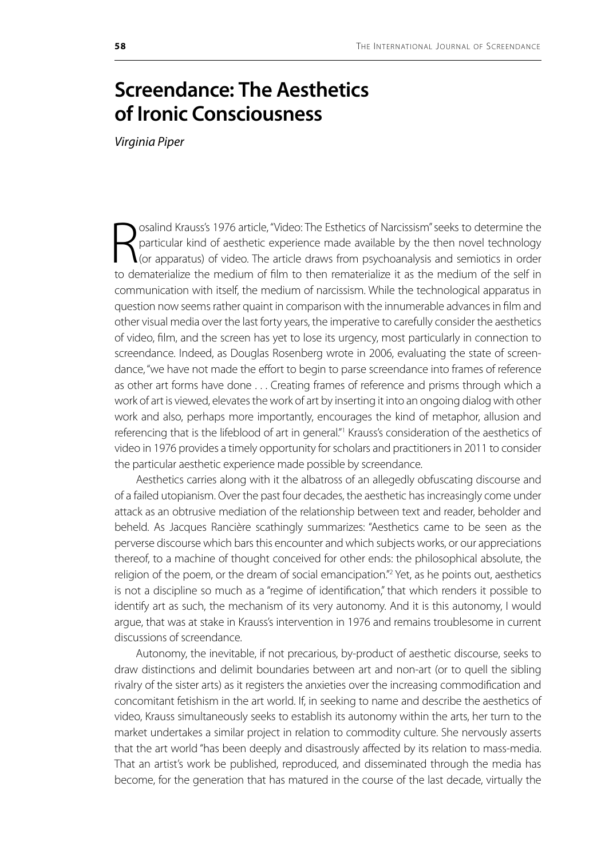## **Screendance: The Aesthetics of Ironic Consciousness**

*Virginia Piper*

Sosalind Krauss's 1976 article, "Video: The Esthetics of Narcissism" seeks to determine the particular kind of aesthetic experience made available by the then novel technology (or apparatus) of video. The article draws fro osalind Krauss's 1976 article, "Video: The Esthetics of Narcissism" seeks to determine the particular kind of aesthetic experience made available by the then novel technology (or apparatus) of video. The article draws from psychoanalysis and semiotics in order communication with itself, the medium of narcissism. While the technological apparatus in question now seems rather quaint in comparison with the innumerable advances in film and other visual media over the last forty years, the imperative to carefully consider the aesthetics of video, film, and the screen has yet to lose its urgency, most particularly in connection to screendance. Indeed, as Douglas Rosenberg wrote in 2006, evaluating the state of screendance, "we have not made the effort to begin to parse screendance into frames of reference as other art forms have done . . . Creating frames of reference and prisms through which a work of art is viewed, elevates the work of art by inserting it into an ongoing dialog with other work and also, perhaps more importantly, encourages the kind of metaphor, allusion and referencing that is the lifeblood of art in general."<sup>1</sup> Krauss's consideration of the aesthetics of video in 1976 provides a timely opportunity for scholars and practitioners in 2011 to consider the particular aesthetic experience made possible by screendance.

Aesthetics carries along with it the albatross of an allegedly obfuscating discourse and of a failed utopianism. Over the past four decades, the aesthetic has increasingly come under attack as an obtrusive mediation of the relationship between text and reader, beholder and beheld. As Jacques Rancière scathingly summarizes: "Aesthetics came to be seen as the perverse discourse which bars this encounter and which subjects works, or our appreciations thereof, to a machine of thought conceived for other ends: the philosophical absolute, the religion of the poem, or the dream of social emancipation."<sup>2</sup> Yet, as he points out, aesthetics is not a discipline so much as a "regime of identification," that which renders it possible to identify art as such, the mechanism of its very autonomy. And it is this autonomy, I would argue, that was at stake in Krauss's intervention in 1976 and remains troublesome in current discussions of screendance.

Autonomy, the inevitable, if not precarious, by-product of aesthetic discourse, seeks to draw distinctions and delimit boundaries between art and non-art (or to quell the sibling rivalry of the sister arts) as it registers the anxieties over the increasing commodification and concomitant fetishism in the art world. If, in seeking to name and describe the aesthetics of video, Krauss simultaneously seeks to establish its autonomy within the arts, her turn to the market undertakes a similar project in relation to commodity culture. She nervously asserts that the art world "has been deeply and disastrously affected by its relation to mass-media. That an artist's work be published, reproduced, and disseminated through the media has become, for the generation that has matured in the course of the last decade, virtually the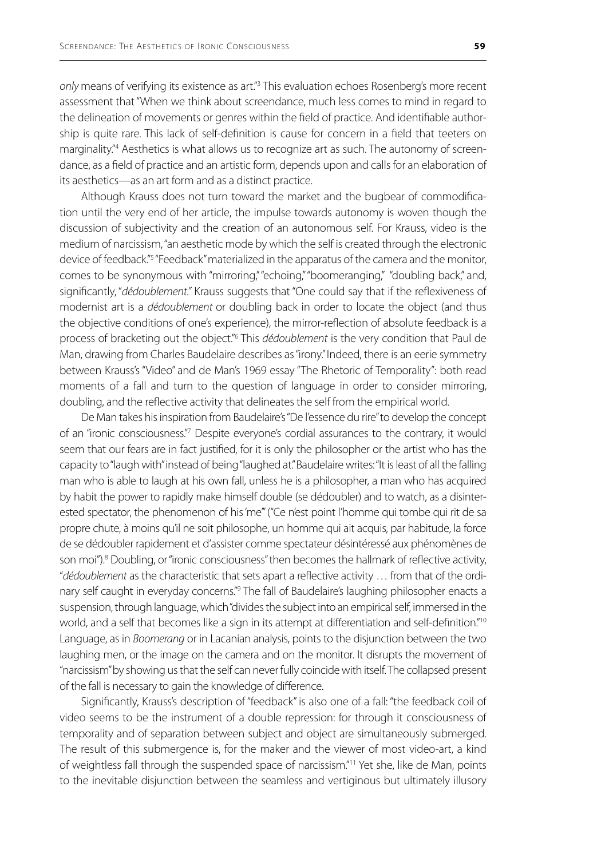only means of verifying its existence as art.<sup>"3</sup> This evaluation echoes Rosenberg's more recent assessment that "When we think about screendance, much less comes to mind in regard to the delineation of movements or genres within the field of practice. And identifiable authorship is quite rare. This lack of self-definition is cause for concern in a field that teeters on marginality."4 Aesthetics is what allows us to recognize art as such. The autonomy of screendance, as a field of practice and an artistic form, depends upon and calls for an elaboration of its aesthetics—as an art form and as a distinct practice.

Although Krauss does not turn toward the market and the bugbear of commodification until the very end of her article, the impulse towards autonomy is woven though the discussion of subjectivity and the creation of an autonomous self. For Krauss, video is the medium of narcissism, "an aesthetic mode by which the self is created through the electronic device of feedback."<sup>5</sup> "Feedback" materialized in the apparatus of the camera and the monitor, comes to be synonymous with "mirroring," "echoing," "boomeranging," "doubling back," and, significantly, "*dédoublement."* Krauss suggests that "One could say that if the reflexiveness of modernist art is a *dédoublement* or doubling back in order to locate the object (and thus the objective conditions of one's experience), the mirror-reflection of absolute feedback is a process of bracketing out the object.<sup>"6</sup> This *dédoublement* is the very condition that Paul de Man, drawing from Charles Baudelaire describes as "irony." Indeed, there is an eerie symmetry between Krauss's "Video" and de Man's 1969 essay "The Rhetoric of Temporality": both read moments of a fall and turn to the question of language in order to consider mirroring, doubling, and the reflective activity that delineates the self from the empirical world.

De Man takes his inspiration from Baudelaire's "De l'essence du rire" to develop the concept of an "ironic consciousness."7 Despite everyone's cordial assurances to the contrary, it would seem that our fears are in fact justified, for it is only the philosopher or the artist who has the capacity to "laugh with" instead of being "laughed at." Baudelaire writes: "It is least of all the falling man who is able to laugh at his own fall, unless he is a philosopher, a man who has acquired by habit the power to rapidly make himself double (se dédoubler) and to watch, as a disinterested spectator, the phenomenon of his 'me'" ("Ce n'est point l'homme qui tombe qui rit de sa propre chute, à moins qu'il ne soit philosophe, un homme qui ait acquis, par habitude, la force de se dédoubler rapidement et d'assister comme spectateur désintéressé aux phénomènes de son moi").<sup>8</sup> Doubling, or "ironic consciousness" then becomes the hallmark of reflective activity, "*dédoublement* as the characteristic that sets apart a reflective activity … from that of the ordinary self caught in everyday concerns."<sup>9</sup> The fall of Baudelaire's laughing philosopher enacts a suspension, through language, which "divides the subject into an empirical self, immersed in the world, and a self that becomes like a sign in its attempt at differentiation and self-definition."<sup>10</sup> Language, as in *Boomerang* or in Lacanian analysis, points to the disjunction between the two laughing men, or the image on the camera and on the monitor. It disrupts the movement of "narcissism" by showing us that the self can never fully coincide with itself. The collapsed present of the fall is necessary to gain the knowledge of difference.

Significantly, Krauss's description of "feedback" is also one of a fall: "the feedback coil of video seems to be the instrument of a double repression: for through it consciousness of temporality and of separation between subject and object are simultaneously submerged. The result of this submergence is, for the maker and the viewer of most video-art, a kind of weightless fall through the suspended space of narcissism."<sup>11</sup> Yet she, like de Man, points to the inevitable disjunction between the seamless and vertiginous but ultimately illusory